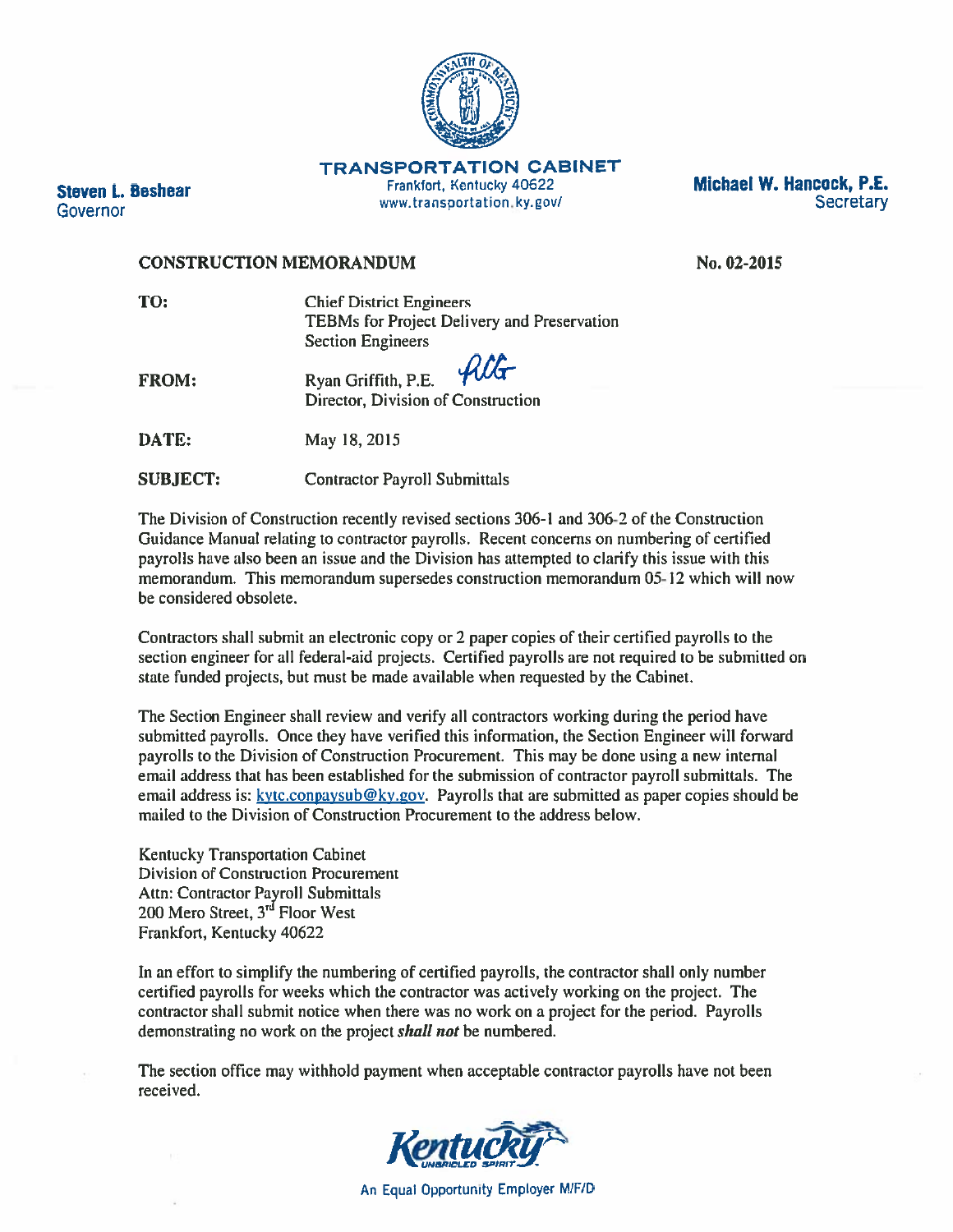

**TRANSPORTATION CABINET** 

Frankfort, Kentucky 40622 www.transportation.ky.gov/



#### **CONSTRUCTION MEMORANDUM**

**Steven L. Beshear** 

Governor

No. 02-2015

| TO:          | <b>Chief District Engineers</b>                                                               |  |
|--------------|-----------------------------------------------------------------------------------------------|--|
|              | TEBMs for Project Delivery and Preservation                                                   |  |
|              | <b>Section Engineers</b>                                                                      |  |
| <b>FROM:</b> | Ryan Griffith, P.E. $\mathcal{A}\mathcal{C}\mathcal{A}$<br>Director, Division of Construction |  |
| DATE:        | May 18, 2015                                                                                  |  |

**SUBJECT: Contractor Payroll Submittals** 

The Division of Construction recently revised sections 306-1 and 306-2 of the Construction Guidance Manual relating to contractor payrolls. Recent concerns on numbering of certified payrolls have also been an issue and the Division has attempted to clarify this issue with this memorandum. This memorandum supersedes construction memorandum 05-12 which will now be considered obsolete.

Contractors shall submit an electronic copy or 2 paper copies of their certified payrolls to the section engineer for all federal-aid projects. Certified payrolls are not required to be submitted on state funded projects, but must be made available when requested by the Cabinet.

The Section Engineer shall review and verify all contractors working during the period have submitted payrolls. Once they have verified this information, the Section Engineer will forward payrolls to the Division of Construction Procurement. This may be done using a new internal email address that has been established for the submission of contractor payroll submittals. The email address is: kytc.conpaysub@ky.gov. Payrolls that are submitted as paper copies should be mailed to the Division of Construction Procurement to the address below.

**Kentucky Transportation Cabinet Division of Construction Procurement Attn: Contractor Payroll Submittals** 200 Mero Street, 3<sup>rd</sup> Floor West Frankfort, Kentucky 40622

In an effort to simplify the numbering of certified payrolls, the contractor shall only number certified payrolls for weeks which the contractor was actively working on the project. The contractor shall submit notice when there was no work on a project for the period. Payrolls demonstrating no work on the project *shall not* be numbered.

The section office may withhold payment when acceptable contractor payrolls have not been received.

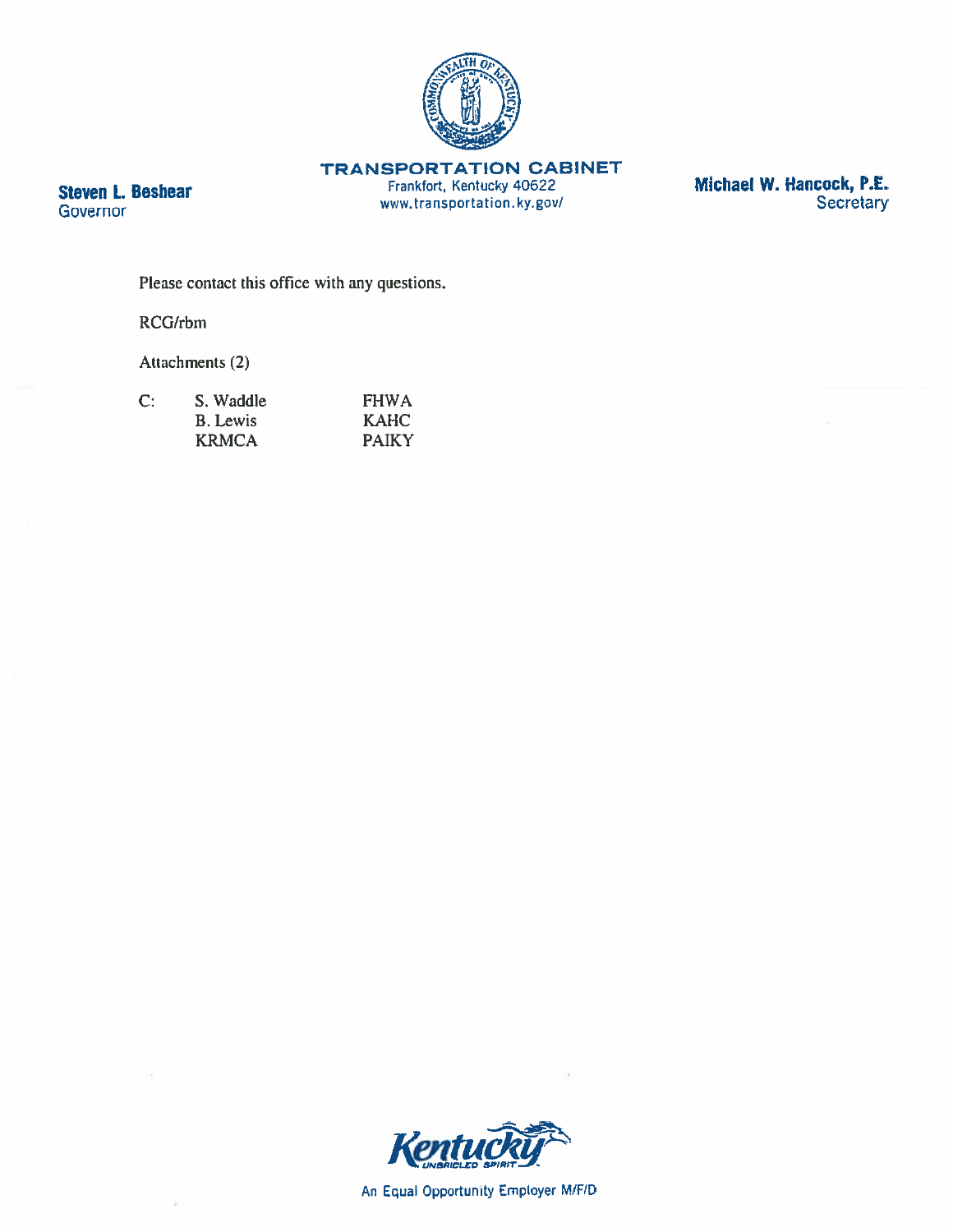

**TRANSPORTATION CABINET** 

Frankfort, Kentucky 40622 www.transportation.ky.gov/ **Michael W. Hancock, P.E.**<br>Secretary

Please contact this office with any questions.

RCG/rbm

**Steven L. Beshear** 

**Governor** 

Attachments (2)

| $\mathbf{C}$ | S. Waddle       | <b>FHWA</b>  |
|--------------|-----------------|--------------|
|              | <b>B.</b> Lewis | <b>KAHC</b>  |
|              | <b>KRMCA</b>    | <b>PAIKY</b> |



An Equal Opportunity Employer M/F/D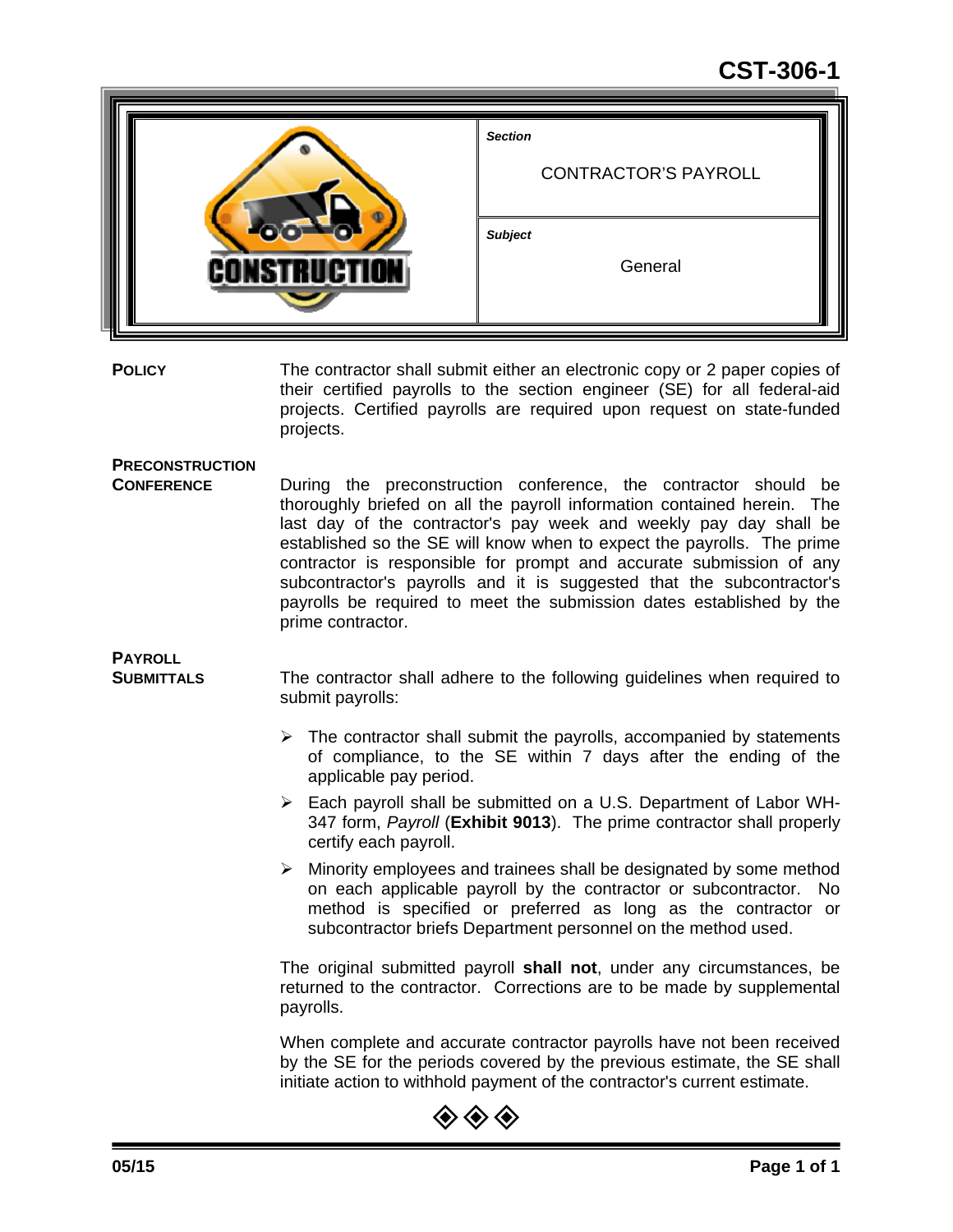## **CST-306-1**

|                     | <b>Section</b><br><b>CONTRACTOR'S PAYROLL</b> |
|---------------------|-----------------------------------------------|
| <b>CONSTRUCTION</b> | <b>Subject</b><br>General                     |

**POLICY** The contractor shall submit either an electronic copy or 2 paper copies of their certified payrolls to the section engineer (SE) for all federal-aid projects. Certified payrolls are required upon request on state-funded projects.

### **PRECONSTRUCTION**

**CONFERENCE** During the preconstruction conference, the contractor should be thoroughly briefed on all the payroll information contained herein. The last day of the contractor's pay week and weekly pay day shall be established so the SE will know when to expect the payrolls. The prime contractor is responsible for prompt and accurate submission of any subcontractor's payrolls and it is suggested that the subcontractor's payrolls be required to meet the submission dates established by the prime contractor.

# **PAYROLL**

**SUBMITTALS** The contractor shall adhere to the following guidelines when required to submit payrolls:

- $\triangleright$  The contractor shall submit the payrolls, accompanied by statements of compliance, to the SE within 7 days after the ending of the applicable pay period.
- Each payroll shall be submitted on a U.S. Department of Labor WH-347 form, *Payroll* (**Exhibit 9013**). The prime contractor shall properly certify each payroll.
- $\triangleright$  Minority employees and trainees shall be designated by some method on each applicable payroll by the contractor or subcontractor. No method is specified or preferred as long as the contractor or subcontractor briefs Department personnel on the method used.

The original submitted payroll **shall not**, under any circumstances, be returned to the contractor. Corrections are to be made by supplemental payrolls.

When complete and accurate contractor payrolls have not been received by the SE for the periods covered by the previous estimate, the SE shall initiate action to withhold payment of the contractor's current estimate.

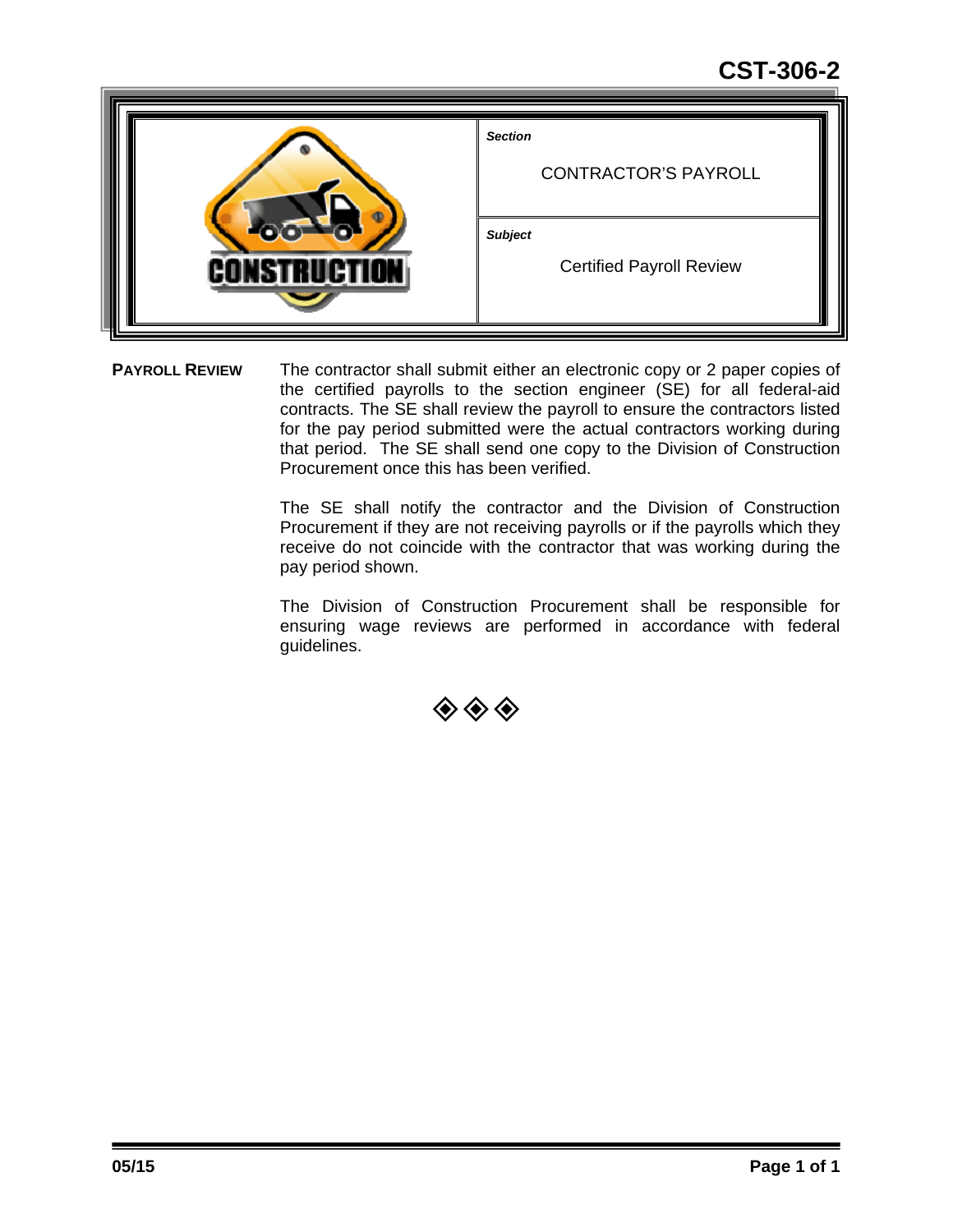# **CST-306-2**

| <b>Section</b><br><b>CONTRACTOR'S PAYROLL</b>     |
|---------------------------------------------------|
| <b>Subject</b><br><b>Certified Payroll Review</b> |

**PAYROLL REVIEW** The contractor shall submit either an electronic copy or 2 paper copies of the certified payrolls to the section engineer (SE) for all federal-aid contracts. The SE shall review the payroll to ensure the contractors listed for the pay period submitted were the actual contractors working during that period. The SE shall send one copy to the Division of Construction Procurement once this has been verified.

> The SE shall notify the contractor and the Division of Construction Procurement if they are not receiving payrolls or if the payrolls which they receive do not coincide with the contractor that was working during the pay period shown.

> The Division of Construction Procurement shall be responsible for ensuring wage reviews are performed in accordance with federal guidelines.

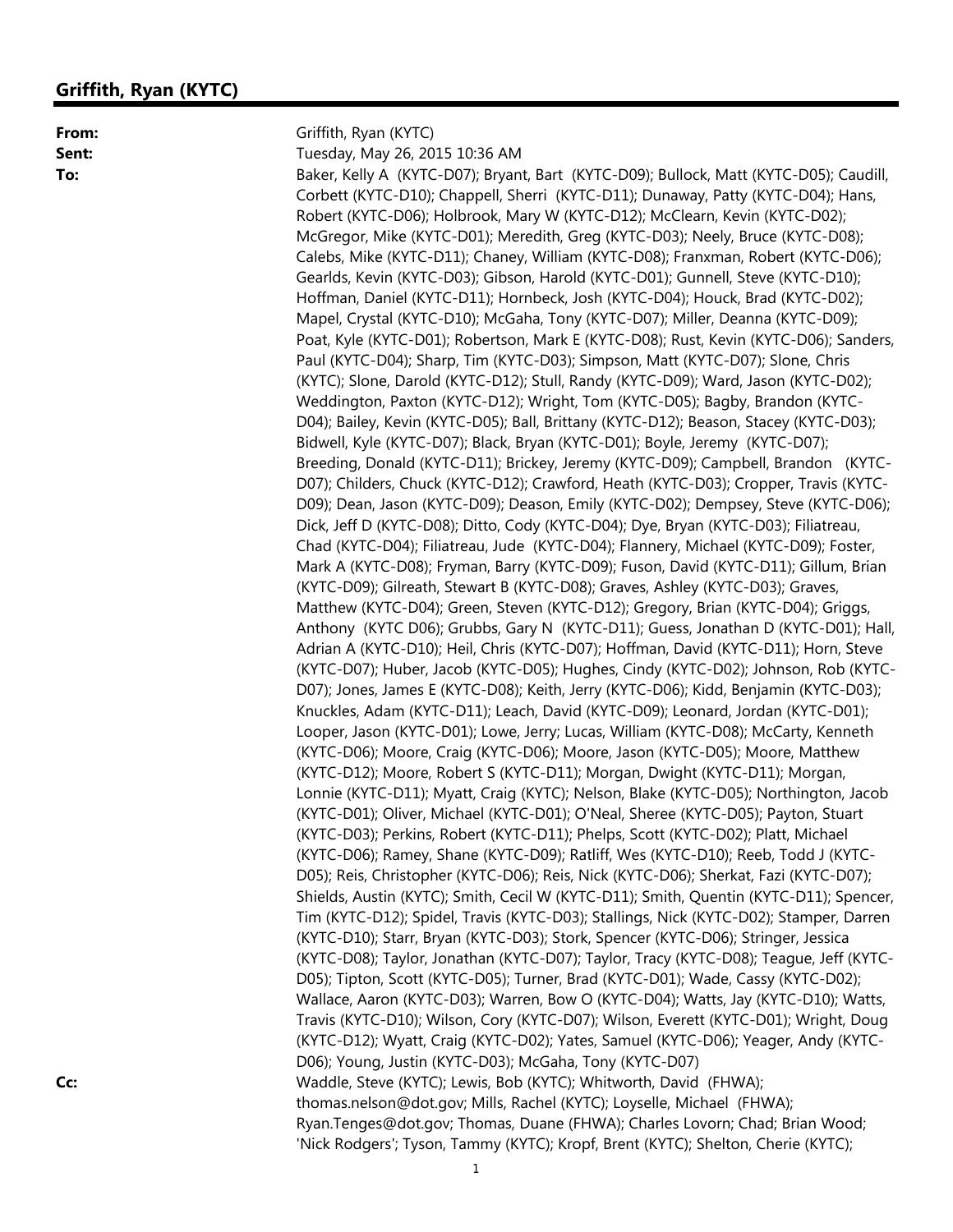### **Griffith, Ryan (KYTC)**

**From:** Griffith, Ryan (KYTC)

**Sent:** Tuesday, May 26, 2015 10:36 AM **To:** Baker, Kelly A (KYTC-D07); Bryant, Bart (KYTC-D09); Bullock, Matt (KYTC-D05); Caudill, Corbett (KYTC-D10); Chappell, Sherri (KYTC-D11); Dunaway, Patty (KYTC-D04); Hans, Robert (KYTC-D06); Holbrook, Mary W (KYTC-D12); McClearn, Kevin (KYTC-D02); McGregor, Mike (KYTC-D01); Meredith, Greg (KYTC-D03); Neely, Bruce (KYTC-D08); Calebs, Mike (KYTC-D11); Chaney, William (KYTC-D08); Franxman, Robert (KYTC-D06); Gearlds, Kevin (KYTC-D03); Gibson, Harold (KYTC-D01); Gunnell, Steve (KYTC-D10); Hoffman, Daniel (KYTC-D11); Hornbeck, Josh (KYTC-D04); Houck, Brad (KYTC-D02); Mapel, Crystal (KYTC-D10); McGaha, Tony (KYTC-D07); Miller, Deanna (KYTC-D09); Poat, Kyle (KYTC-D01); Robertson, Mark E (KYTC-D08); Rust, Kevin (KYTC-D06); Sanders, Paul (KYTC-D04); Sharp, Tim (KYTC-D03); Simpson, Matt (KYTC-D07); Slone, Chris (KYTC); Slone, Darold (KYTC-D12); Stull, Randy (KYTC-D09); Ward, Jason (KYTC-D02); Weddington, Paxton (KYTC-D12); Wright, Tom (KYTC-D05); Bagby, Brandon (KYTC-D04); Bailey, Kevin (KYTC-D05); Ball, Brittany (KYTC-D12); Beason, Stacey (KYTC-D03); Bidwell, Kyle (KYTC-D07); Black, Bryan (KYTC-D01); Boyle, Jeremy (KYTC-D07); Breeding, Donald (KYTC-D11); Brickey, Jeremy (KYTC-D09); Campbell, Brandon (KYTC-D07); Childers, Chuck (KYTC-D12); Crawford, Heath (KYTC-D03); Cropper, Travis (KYTC-D09); Dean, Jason (KYTC-D09); Deason, Emily (KYTC-D02); Dempsey, Steve (KYTC-D06); Dick, Jeff D (KYTC-D08); Ditto, Cody (KYTC-D04); Dye, Bryan (KYTC-D03); Filiatreau, Chad (KYTC-D04); Filiatreau, Jude (KYTC-D04); Flannery, Michael (KYTC-D09); Foster, Mark A (KYTC-D08); Fryman, Barry (KYTC-D09); Fuson, David (KYTC-D11); Gillum, Brian (KYTC-D09); Gilreath, Stewart B (KYTC-D08); Graves, Ashley (KYTC-D03); Graves, Matthew (KYTC-D04); Green, Steven (KYTC-D12); Gregory, Brian (KYTC-D04); Griggs, Anthony (KYTC D06); Grubbs, Gary N (KYTC-D11); Guess, Jonathan D (KYTC-D01); Hall, Adrian A (KYTC-D10); Heil, Chris (KYTC-D07); Hoffman, David (KYTC-D11); Horn, Steve (KYTC-D07); Huber, Jacob (KYTC-D05); Hughes, Cindy (KYTC-D02); Johnson, Rob (KYTC-D07); Jones, James E (KYTC-D08); Keith, Jerry (KYTC-D06); Kidd, Benjamin (KYTC-D03); Knuckles, Adam (KYTC-D11); Leach, David (KYTC-D09); Leonard, Jordan (KYTC-D01); Looper, Jason (KYTC-D01); Lowe, Jerry; Lucas, William (KYTC-D08); McCarty, Kenneth (KYTC-D06); Moore, Craig (KYTC-D06); Moore, Jason (KYTC-D05); Moore, Matthew (KYTC-D12); Moore, Robert S (KYTC-D11); Morgan, Dwight (KYTC-D11); Morgan, Lonnie (KYTC-D11); Myatt, Craig (KYTC); Nelson, Blake (KYTC-D05); Northington, Jacob (KYTC-D01); Oliver, Michael (KYTC-D01); O'Neal, Sheree (KYTC-D05); Payton, Stuart (KYTC-D03); Perkins, Robert (KYTC-D11); Phelps, Scott (KYTC-D02); Platt, Michael (KYTC-D06); Ramey, Shane (KYTC-D09); Ratliff, Wes (KYTC-D10); Reeb, Todd J (KYTC-D05); Reis, Christopher (KYTC-D06); Reis, Nick (KYTC-D06); Sherkat, Fazi (KYTC-D07); Shields, Austin (KYTC); Smith, Cecil W (KYTC-D11); Smith, Quentin (KYTC-D11); Spencer, Tim (KYTC-D12); Spidel, Travis (KYTC-D03); Stallings, Nick (KYTC-D02); Stamper, Darren (KYTC-D10); Starr, Bryan (KYTC-D03); Stork, Spencer (KYTC-D06); Stringer, Jessica (KYTC-D08); Taylor, Jonathan (KYTC-D07); Taylor, Tracy (KYTC-D08); Teague, Jeff (KYTC-D05); Tipton, Scott (KYTC-D05); Turner, Brad (KYTC-D01); Wade, Cassy (KYTC-D02); Wallace, Aaron (KYTC-D03); Warren, Bow O (KYTC-D04); Watts, Jay (KYTC-D10); Watts, Travis (KYTC-D10); Wilson, Cory (KYTC-D07); Wilson, Everett (KYTC-D01); Wright, Doug (KYTC-D12); Wyatt, Craig (KYTC-D02); Yates, Samuel (KYTC-D06); Yeager, Andy (KYTC-D06); Young, Justin (KYTC-D03); McGaha, Tony (KYTC-D07) **Cc: CC: Waddle, Steve (KYTC); Lewis, Bob (KYTC); Whitworth, David (FHWA);** thomas.nelson@dot.gov; Mills, Rachel (KYTC); Loyselle, Michael (FHWA); Ryan.Tenges@dot.gov; Thomas, Duane (FHWA); Charles Lovorn; Chad; Brian Wood; 'Nick Rodgers'; Tyson, Tammy (KYTC); Kropf, Brent (KYTC); Shelton, Cherie (KYTC);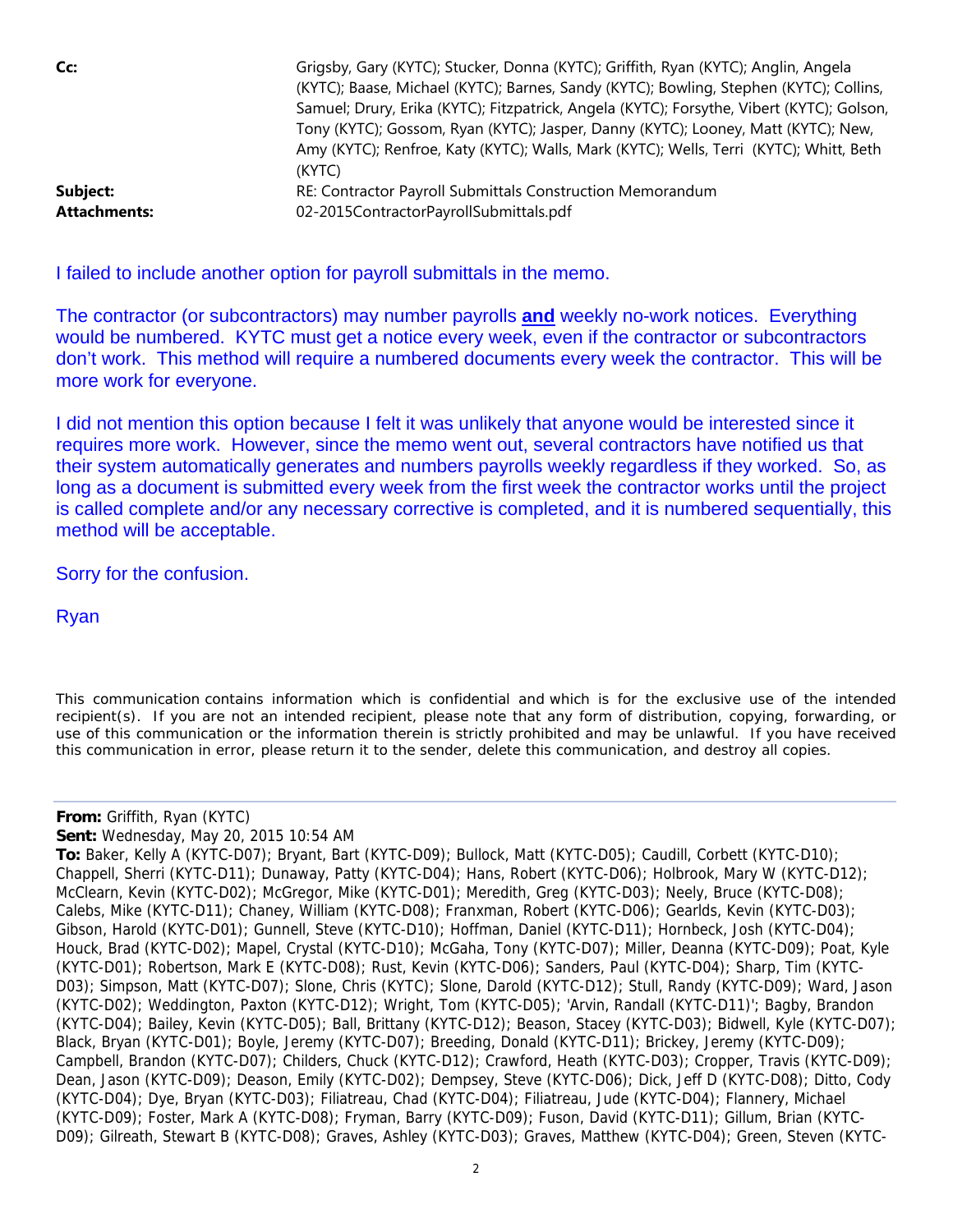| Cc:                 | Grigsby, Gary (KYTC); Stucker, Donna (KYTC); Griffith, Ryan (KYTC); Anglin, Angela        |
|---------------------|-------------------------------------------------------------------------------------------|
|                     | (KYTC); Baase, Michael (KYTC); Barnes, Sandy (KYTC); Bowling, Stephen (KYTC); Collins,    |
|                     | Samuel; Drury, Erika (KYTC); Fitzpatrick, Angela (KYTC); Forsythe, Vibert (KYTC); Golson, |
|                     | Tony (KYTC); Gossom, Ryan (KYTC); Jasper, Danny (KYTC); Looney, Matt (KYTC); New,         |
|                     | Amy (KYTC); Renfroe, Katy (KYTC); Walls, Mark (KYTC); Wells, Terri (KYTC); Whitt, Beth    |
|                     | (KYTC)                                                                                    |
| Subject:            | RE: Contractor Payroll Submittals Construction Memorandum                                 |
| <b>Attachments:</b> | 02-2015ContractorPayrollSubmittals.pdf                                                    |

I failed to include another option for payroll submittals in the memo.

The contractor (or subcontractors) may number payrolls **and** weekly no-work notices. Everything would be numbered. KYTC must get a notice every week, even if the contractor or subcontractors don't work. This method will require a numbered documents every week the contractor. This will be more work for everyone.

I did not mention this option because I felt it was unlikely that anyone would be interested since it requires more work. However, since the memo went out, several contractors have notified us that their system automatically generates and numbers payrolls weekly regardless if they worked. So, as long as a document is submitted every week from the first week the contractor works until the project is called complete and/or any necessary corrective is completed, and it is numbered sequentially, this method will be acceptable.

Sorry for the confusion.

Ryan

*This communication contains information which is confidential and which is for the exclusive use of the intended recipient(s). If you are not an intended recipient, please note that any form of distribution, copying, forwarding, or use of this communication or the information therein is strictly prohibited and may be unlawful. If you have received this communication in error, please return it to the sender, delete this communication, and destroy all copies.*

### **From:** Griffith, Ryan (KYTC)

**Sent:** Wednesday, May 20, 2015 10:54 AM

**To:** Baker, Kelly A (KYTC-D07); Bryant, Bart (KYTC-D09); Bullock, Matt (KYTC-D05); Caudill, Corbett (KYTC-D10); Chappell, Sherri (KYTC-D11); Dunaway, Patty (KYTC-D04); Hans, Robert (KYTC-D06); Holbrook, Mary W (KYTC-D12); McClearn, Kevin (KYTC-D02); McGregor, Mike (KYTC-D01); Meredith, Greg (KYTC-D03); Neely, Bruce (KYTC-D08); Calebs, Mike (KYTC-D11); Chaney, William (KYTC-D08); Franxman, Robert (KYTC-D06); Gearlds, Kevin (KYTC-D03); Gibson, Harold (KYTC-D01); Gunnell, Steve (KYTC-D10); Hoffman, Daniel (KYTC-D11); Hornbeck, Josh (KYTC-D04); Houck, Brad (KYTC-D02); Mapel, Crystal (KYTC-D10); McGaha, Tony (KYTC-D07); Miller, Deanna (KYTC-D09); Poat, Kyle (KYTC-D01); Robertson, Mark E (KYTC-D08); Rust, Kevin (KYTC-D06); Sanders, Paul (KYTC-D04); Sharp, Tim (KYTC-D03); Simpson, Matt (KYTC-D07); Slone, Chris (KYTC); Slone, Darold (KYTC-D12); Stull, Randy (KYTC-D09); Ward, Jason (KYTC-D02); Weddington, Paxton (KYTC-D12); Wright, Tom (KYTC-D05); 'Arvin, Randall (KYTC-D11)'; Bagby, Brandon (KYTC-D04); Bailey, Kevin (KYTC-D05); Ball, Brittany (KYTC-D12); Beason, Stacey (KYTC-D03); Bidwell, Kyle (KYTC-D07); Black, Bryan (KYTC-D01); Boyle, Jeremy (KYTC-D07); Breeding, Donald (KYTC-D11); Brickey, Jeremy (KYTC-D09); Campbell, Brandon (KYTC-D07); Childers, Chuck (KYTC-D12); Crawford, Heath (KYTC-D03); Cropper, Travis (KYTC-D09); Dean, Jason (KYTC-D09); Deason, Emily (KYTC-D02); Dempsey, Steve (KYTC-D06); Dick, Jeff D (KYTC-D08); Ditto, Cody (KYTC-D04); Dye, Bryan (KYTC-D03); Filiatreau, Chad (KYTC-D04); Filiatreau, Jude (KYTC-D04); Flannery, Michael (KYTC-D09); Foster, Mark A (KYTC-D08); Fryman, Barry (KYTC-D09); Fuson, David (KYTC-D11); Gillum, Brian (KYTC-D09); Gilreath, Stewart B (KYTC-D08); Graves, Ashley (KYTC-D03); Graves, Matthew (KYTC-D04); Green, Steven (KYTC-